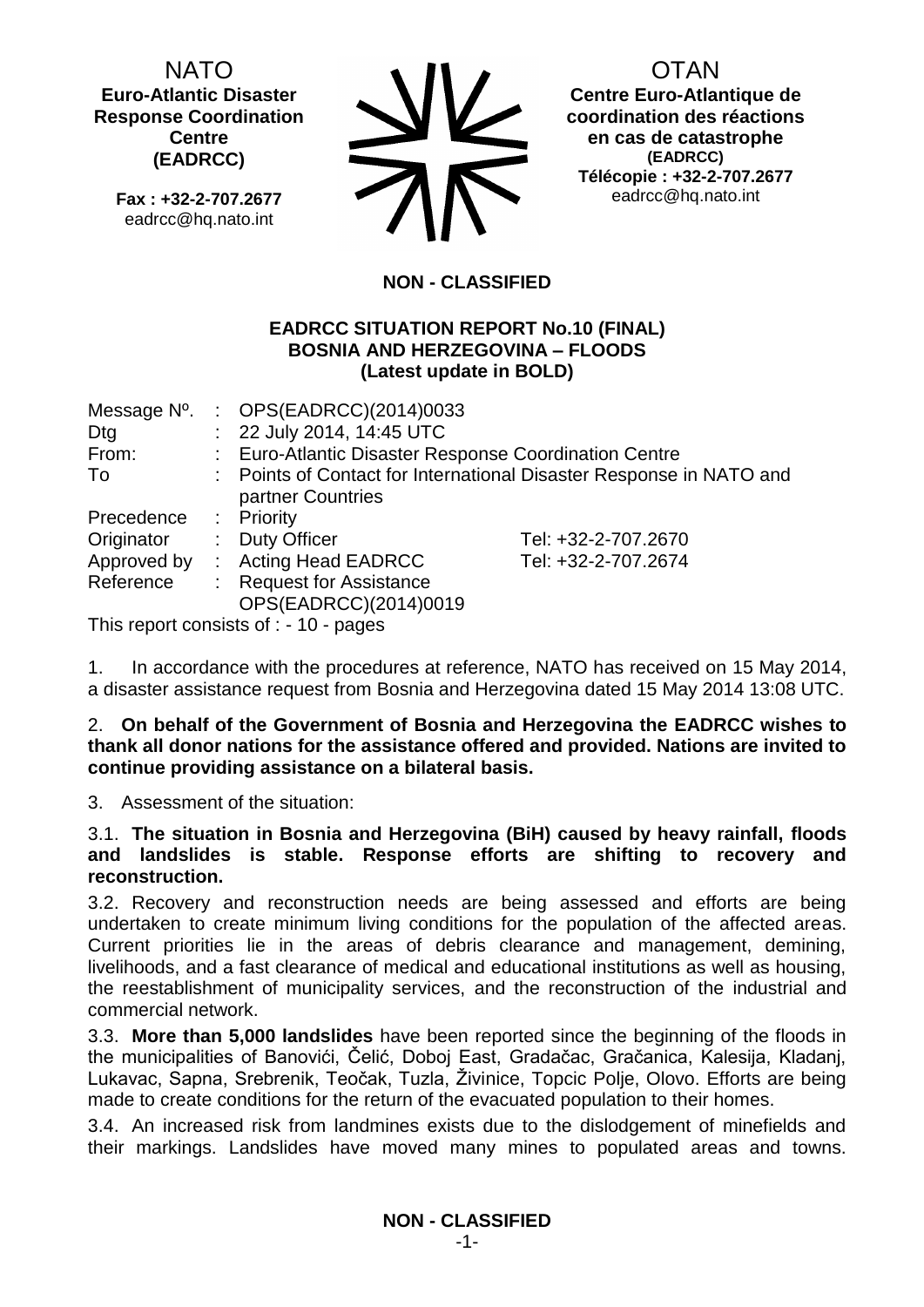NATO **Euro-Atlantic Disaster Response Coordination Centre (EADRCC)**

**Fax : +32-2-707.2677** eadrcc@hq.nato.int



OTAN

**Centre Euro-Atlantique de coordination des réactions en cas de catastrophe (EADRCC) Télécopie : +32-2-707.2677** eadrcc@hq.nato.int

## **NON - CLASSIFIED**

### **EADRCC SITUATION REPORT No.10 (FINAL) BOSNIA AND HERZEGOVINA – FLOODS (Latest update in BOLD)**

| Message N°. |                             | : OPS(EADRCC)(2014)0033                                |                                                                     |
|-------------|-----------------------------|--------------------------------------------------------|---------------------------------------------------------------------|
| Dtg         |                             | : 22 July 2014, 14:45 UTC                              |                                                                     |
| From:       |                             | Euro-Atlantic Disaster Response Coordination Centre    |                                                                     |
| To          |                             | partner Countries                                      | : Points of Contact for International Disaster Response in NATO and |
| Precedence  |                             | : Priority                                             |                                                                     |
| Originator  | $\mathcal{L}^{\mathcal{L}}$ | <b>Duty Officer</b>                                    | Tel: +32-2-707.2670                                                 |
| Approved by |                             | : Acting Head EADRCC                                   | Tel: +32-2-707.2674                                                 |
| Reference   |                             | <b>Request for Assistance</b><br>OPS(EADRCC)(2014)0019 |                                                                     |
|             |                             |                                                        |                                                                     |

This report consists of : - 10 - pages

1. In accordance with the procedures at reference, NATO has received on 15 May 2014, a disaster assistance request from Bosnia and Herzegovina dated 15 May 2014 13:08 UTC.

### 2. **On behalf of the Government of Bosnia and Herzegovina the EADRCC wishes to thank all donor nations for the assistance offered and provided. Nations are invited to continue providing assistance on a bilateral basis.**

3. Assessment of the situation:

### 3.1. **The situation in Bosnia and Herzegovina (BiH) caused by heavy rainfall, floods and landslides is stable. Response efforts are shifting to recovery and reconstruction.**

3.2. Recovery and reconstruction needs are being assessed and efforts are being undertaken to create minimum living conditions for the population of the affected areas. Current priorities lie in the areas of debris clearance and management, demining, livelihoods, and a fast clearance of medical and educational institutions as well as housing, the reestablishment of municipality services, and the reconstruction of the industrial and commercial network.

3.3. **More than 5,000 landslides** have been reported since the beginning of the floods in the municipalities of Banovići, Čelić, Doboj East, Gradačac, Gračanica, Kalesija, Kladanj, Lukavac, Sapna, Srebrenik, Teočak, Tuzla, Živinice, Topcic Polje, Olovo. Efforts are being made to create conditions for the return of the evacuated population to their homes.

3.4. An increased risk from landmines exists due to the dislodgement of minefields and their markings. Landslides have moved many mines to populated areas and towns.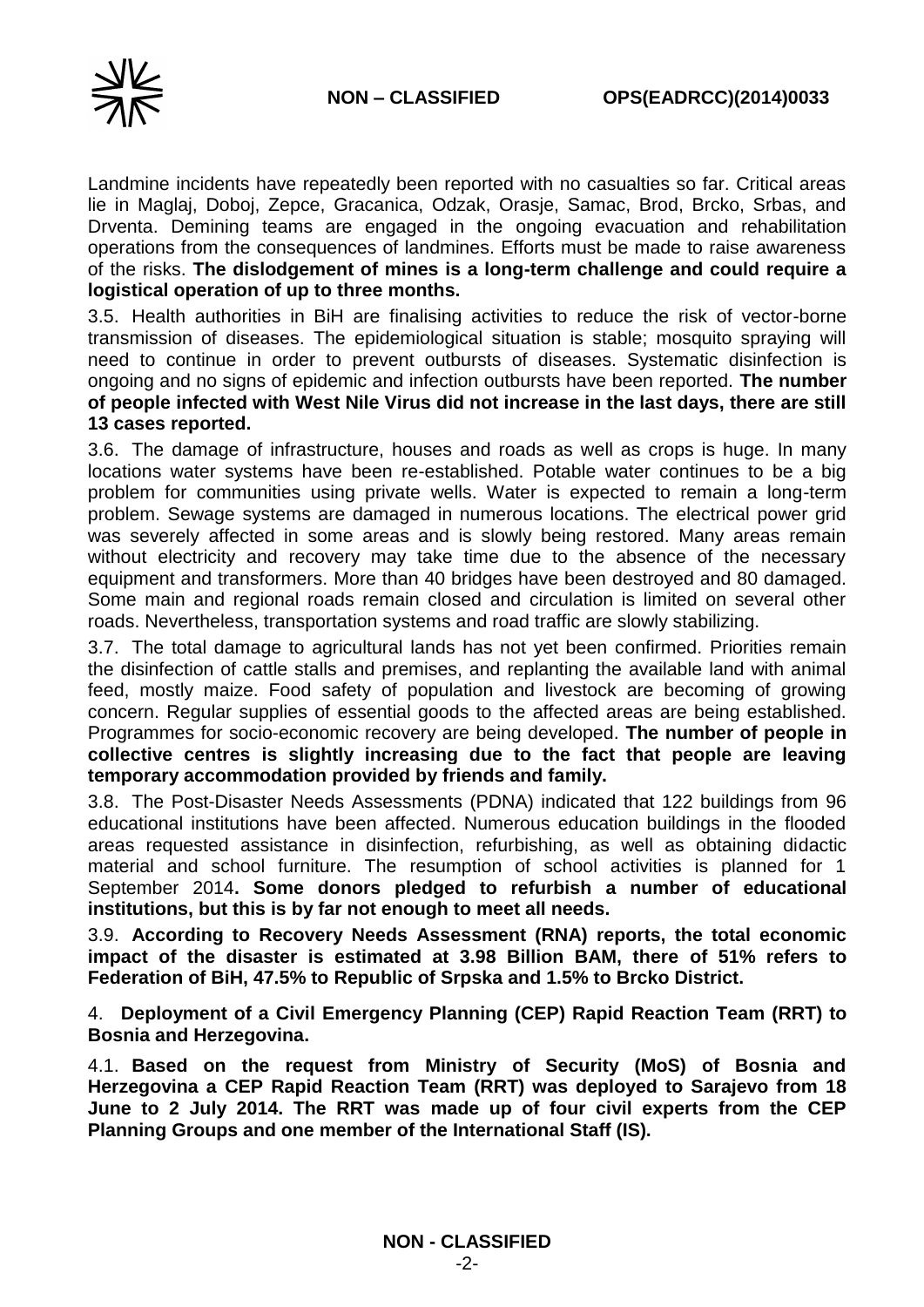Landmine incidents have repeatedly been reported with no casualties so far. Critical areas lie in Maglaj, Doboj, Zepce, Gracanica, Odzak, Orasje, Samac, Brod, Brcko, Srbas, and Drventa. Demining teams are engaged in the ongoing evacuation and rehabilitation operations from the consequences of landmines. Efforts must be made to raise awareness of the risks. **The dislodgement of mines is a long-term challenge and could require a logistical operation of up to three months.**

3.5. Health authorities in BiH are finalising activities to reduce the risk of vector-borne transmission of diseases. The epidemiological situation is stable; mosquito spraying will need to continue in order to prevent outbursts of diseases. Systematic disinfection is ongoing and no signs of epidemic and infection outbursts have been reported. **The number of people infected with West Nile Virus did not increase in the last days, there are still 13 cases reported.**

3.6. The damage of infrastructure, houses and roads as well as crops is huge. In many locations water systems have been re-established. Potable water continues to be a big problem for communities using private wells. Water is expected to remain a long-term problem. Sewage systems are damaged in numerous locations. The electrical power grid was severely affected in some areas and is slowly being restored. Many areas remain without electricity and recovery may take time due to the absence of the necessary equipment and transformers. More than 40 bridges have been destroyed and 80 damaged. Some main and regional roads remain closed and circulation is limited on several other roads. Nevertheless, transportation systems and road traffic are slowly stabilizing.

3.7. The total damage to agricultural lands has not yet been confirmed. Priorities remain the disinfection of cattle stalls and premises, and replanting the available land with animal feed, mostly maize. Food safety of population and livestock are becoming of growing concern. Regular supplies of essential goods to the affected areas are being established. Programmes for socio-economic recovery are being developed. **The number of people in collective centres is slightly increasing due to the fact that people are leaving temporary accommodation provided by friends and family.**

3.8. The Post-Disaster Needs Assessments (PDNA) indicated that 122 buildings from 96 educational institutions have been affected. Numerous education buildings in the flooded areas requested assistance in disinfection, refurbishing, as well as obtaining didactic material and school furniture. The resumption of school activities is planned for 1 September 2014**. Some donors pledged to refurbish a number of educational institutions, but this is by far not enough to meet all needs.**

3.9. **According to Recovery Needs Assessment (RNA) reports, the total economic impact of the disaster is estimated at 3.98 Billion BAM, there of 51% refers to [Federation of BiH,](http://www.google.ru/url?sa=t&rct=j&q=&esrc=s&frm=1&source=web&cd=1&cad=rja&uact=8&ved=0CBsQFjAA&url=http%3A%2F%2Fen.wikipedia.org%2Fwiki%2FFederation_of_Bosnia_and_Herzegovina&ei=pivFU5eWHcmr7Ab_3IHoCw&usg=AFQjCNFtCyWqr0uz76HV8pu8jX5I6xnWsA&bvm=bv.70810081,d.ZWU) 47.5% to Republic of Srpska and 1.5% to Brcko District.**

4. **Deployment of a Civil Emergency Planning (CEP) Rapid Reaction Team (RRT) to Bosnia and Herzegovina.**

4.1. **Based on the request from Ministry of Security (MoS) of Bosnia and Herzegovina a CEP Rapid Reaction Team (RRT) was deployed to Sarajevo from 18 June to 2 July 2014. The RRT was made up of four civil experts from the CEP Planning Groups and one member of the International Staff (IS).**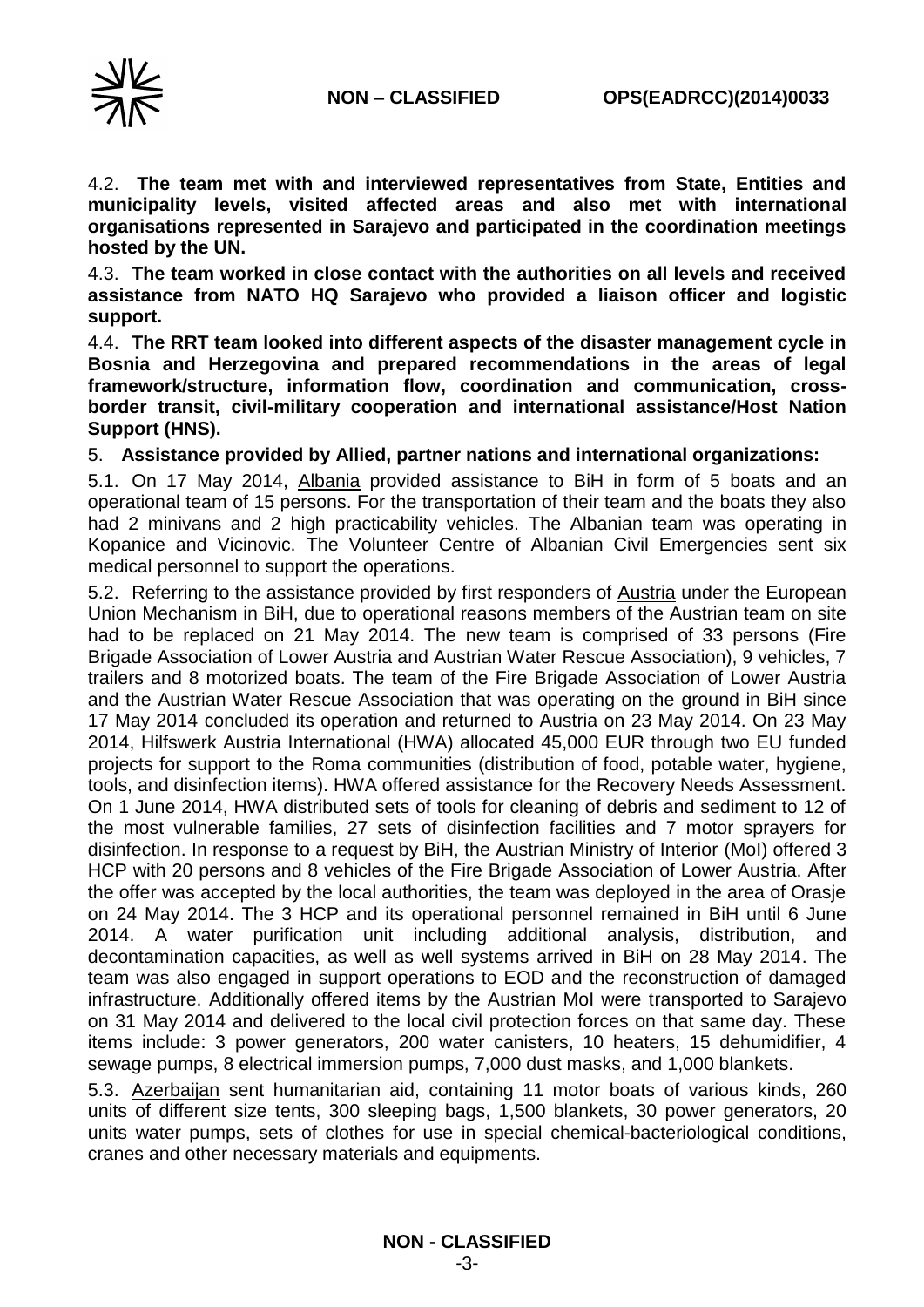

4.2. **The team met with and interviewed representatives from State, Entities and municipality levels, visited affected areas and also met with international organisations represented in Sarajevo and participated in the coordination meetings hosted by the UN.**

4.3. **The team worked in close contact with the authorities on all levels and received assistance from NATO HQ Sarajevo who provided a liaison officer and logistic support.** 

4.4. **The RRT team looked into different aspects of the disaster management cycle in Bosnia and Herzegovina and prepared recommendations in the areas of legal framework/structure, information flow, coordination and communication, crossborder transit, civil-military cooperation and international assistance/Host Nation Support (HNS).**

5. **Assistance provided by Allied, partner nations and international organizations:**

5.1. On 17 May 2014, Albania provided assistance to BiH in form of 5 boats and an operational team of 15 persons. For the transportation of their team and the boats they also had 2 minivans and 2 high practicability vehicles. The Albanian team was operating in Kopanice and Vicinovic. The Volunteer Centre of Albanian Civil Emergencies sent six medical personnel to support the operations.

5.2. Referring to the assistance provided by first responders of Austria under the European Union Mechanism in BiH, due to operational reasons members of the Austrian team on site had to be replaced on 21 May 2014. The new team is comprised of 33 persons (Fire Brigade Association of Lower Austria and Austrian Water Rescue Association), 9 vehicles, 7 trailers and 8 motorized boats. The team of the Fire Brigade Association of Lower Austria and the Austrian Water Rescue Association that was operating on the ground in BiH since 17 May 2014 concluded its operation and returned to Austria on 23 May 2014. On 23 May 2014, Hilfswerk Austria International (HWA) allocated 45,000 EUR through two EU funded projects for support to the Roma communities (distribution of food, potable water, hygiene, tools, and disinfection items). HWA offered assistance for the Recovery Needs Assessment. On 1 June 2014, HWA distributed sets of tools for cleaning of debris and sediment to 12 of the most vulnerable families, 27 sets of disinfection facilities and 7 motor sprayers for disinfection. In response to a request by BiH, the Austrian Ministry of Interior (MoI) offered 3 HCP with 20 persons and 8 vehicles of the Fire Brigade Association of Lower Austria. After the offer was accepted by the local authorities, the team was deployed in the area of Orasje on 24 May 2014. The 3 HCP and its operational personnel remained in BiH until 6 June 2014. A water purification unit including additional analysis, distribution, and decontamination capacities, as well as well systems arrived in BiH on 28 May 2014. The team was also engaged in support operations to EOD and the reconstruction of damaged infrastructure. Additionally offered items by the Austrian MoI were transported to Sarajevo on 31 May 2014 and delivered to the local civil protection forces on that same day. These items include: 3 power generators, 200 water canisters, 10 heaters, 15 dehumidifier, 4 sewage pumps, 8 electrical immersion pumps, 7,000 dust masks, and 1,000 blankets.

5.3. Azerbaijan sent humanitarian aid, containing 11 motor boats of various kinds, 260 units of different size tents, 300 sleeping bags, 1,500 blankets, 30 power generators, 20 units water pumps, sets of clothes for use in special chemical-bacteriological conditions, cranes and other necessary materials and equipments.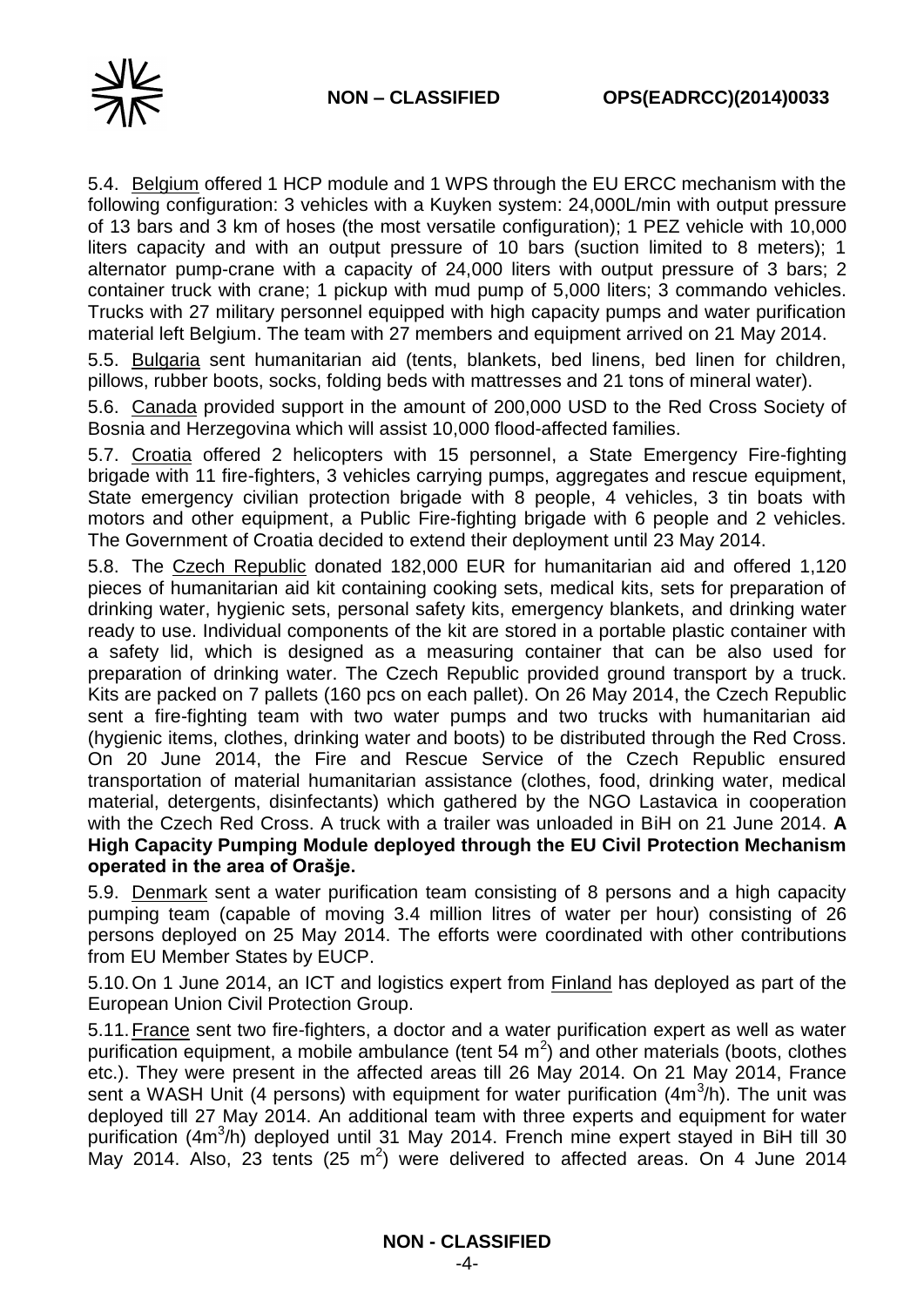

5.4. Belgium offered 1 HCP module and 1 WPS through the EU ERCC mechanism with the following configuration: 3 vehicles with a Kuyken system: 24,000L/min with output pressure of 13 bars and 3 km of hoses (the most versatile configuration); 1 PEZ vehicle with 10,000 liters capacity and with an output pressure of 10 bars (suction limited to 8 meters); 1 alternator pump-crane with a capacity of 24,000 liters with output pressure of 3 bars; 2 container truck with crane; 1 pickup with mud pump of 5,000 liters; 3 commando vehicles. Trucks with 27 military personnel equipped with high capacity pumps and water purification material left Belgium. The team with 27 members and equipment arrived on 21 May 2014.

5.5. Bulgaria sent humanitarian aid (tents, blankets, bed linens, bed linen for children, pillows, rubber boots, socks, folding beds with mattresses and 21 tons of mineral water).

5.6. Canada provided support in the amount of 200,000 USD to the Red Cross Society of Bosnia and Herzegovina which will assist 10,000 flood-affected families.

5.7. Croatia offered 2 helicopters with 15 personnel, a State Emergency Fire-fighting brigade with 11 fire-fighters, 3 vehicles carrying pumps, aggregates and rescue equipment, State emergency civilian protection brigade with 8 people, 4 vehicles, 3 tin boats with motors and other equipment, a Public Fire-fighting brigade with 6 people and 2 vehicles. The Government of Croatia decided to extend their deployment until 23 May 2014.

5.8. The Czech Republic donated 182,000 EUR for humanitarian aid and offered 1,120 pieces of humanitarian aid kit containing cooking sets, medical kits, sets for preparation of drinking water, hygienic sets, personal safety kits, emergency blankets, and drinking water ready to use. Individual components of the kit are stored in a portable plastic container with a safety lid, which is designed as a measuring container that can be also used for preparation of drinking water. The Czech Republic provided ground transport by a truck. Kits are packed on 7 pallets (160 pcs on each pallet). On 26 May 2014, the Czech Republic sent a fire-fighting team with two water pumps and two trucks with humanitarian aid (hygienic items, clothes, drinking water and boots) to be distributed through the Red Cross. On 20 June 2014, the Fire and Rescue Service of the Czech Republic ensured transportation of material humanitarian assistance (clothes, food, drinking water, medical material, detergents, disinfectants) which gathered by the NGO Lastavica in cooperation with the Czech Red Cross. A truck with a trailer was unloaded in BiH on 21 June 2014. **A High Capacity Pumping Module deployed through the EU Civil Protection Mechanism operated in the area of Orašje.** 

5.9. Denmark sent a water purification team consisting of 8 persons and a high capacity pumping team (capable of moving 3.4 million litres of water per hour) consisting of 26 persons deployed on 25 May 2014. The efforts were coordinated with other contributions from EU Member States by EUCP.

5.10.On 1 June 2014, an ICT and logistics expert from Finland has deployed as part of the European Union Civil Protection Group.

5.11.France sent two fire-fighters, a doctor and a water purification expert as well as water purification equipment, a mobile ambulance (tent 54  $m^2$ ) and other materials (boots, clothes etc.). They were present in the affected areas till 26 May 2014. On 21 May 2014, France sent a WASH Unit (4 persons) with equipment for water purification  $(4m^3/h)$ . The unit was deployed till 27 May 2014. An additional team with three experts and equipment for water purification (4m<sup>3</sup>/h) deployed until 31 May 2014. French mine expert stayed in BiH till 30 May 2014. Also, 23 tents (25 m<sup>2</sup>) were delivered to affected areas. On 4 June 2014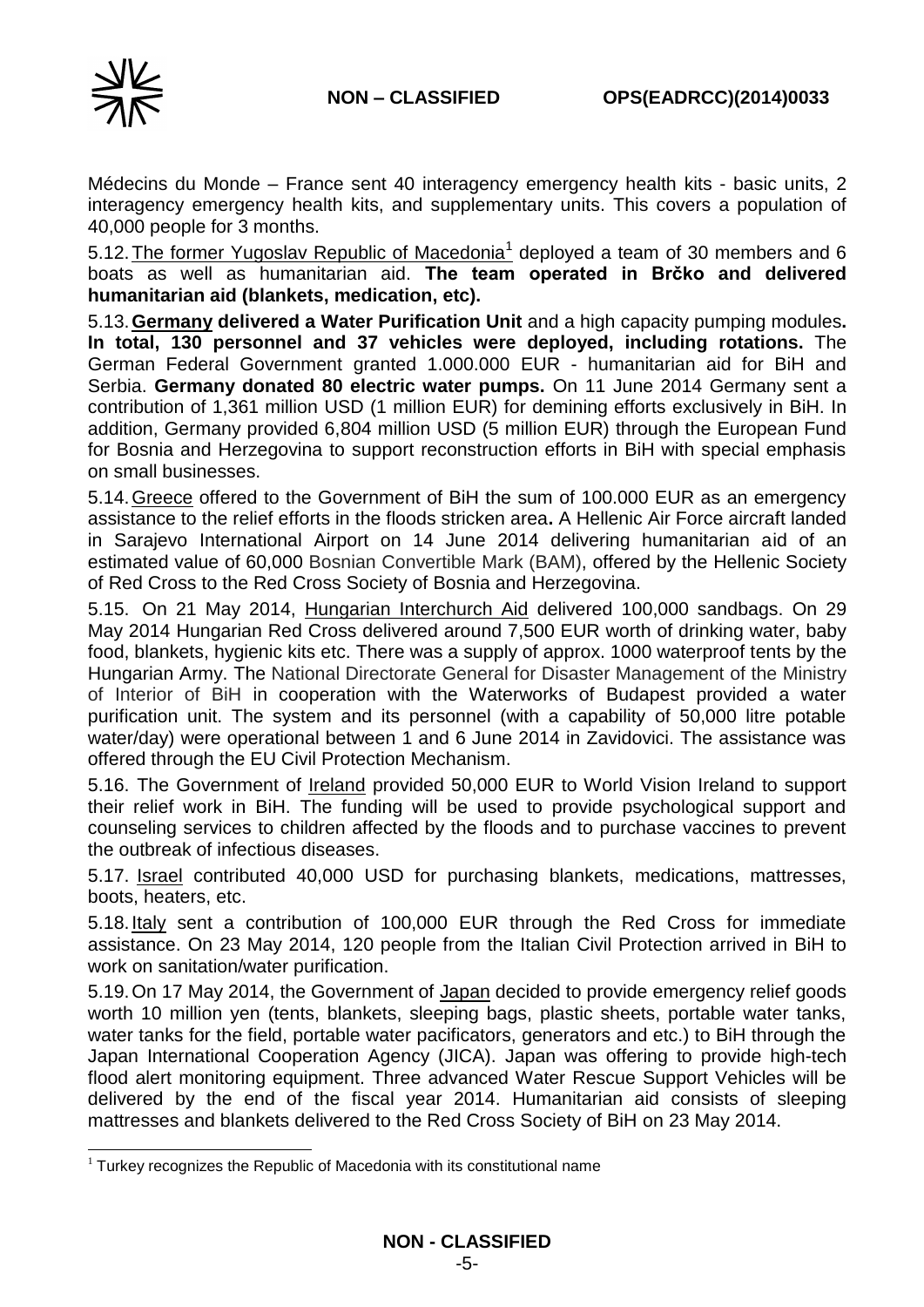

-

Médecins du Monde – France sent 40 interagency emergency health kits - basic units, 2 interagency emergency health kits, and supplementary units. This covers a population of 40,000 people for 3 months.

5.12. The former Yugoslav Republic of Macedonia<sup>1</sup> deployed a team of 30 members and 6 boats as well as humanitarian aid. **The team operated in Brčko and delivered humanitarian aid (blankets, medication, etc).**

5.13.**Germany delivered a Water Purification Unit** and a high capacity pumping modules**. In total, 130 personnel and 37 vehicles were deployed, including rotations.** The German Federal Government granted 1.000.000 EUR - humanitarian aid for BiH and Serbia. **Germany donated 80 electric water pumps.** On 11 June 2014 Germany sent a contribution of 1,361 million USD (1 million EUR) for demining efforts exclusively in BiH. In addition, Germany provided 6,804 million USD (5 million EUR) through the European Fund for Bosnia and Herzegovina to support reconstruction efforts in BiH with special emphasis on small businesses.

5.14.Greece offered to the Government of BiH the sum of 100.000 EUR as an emergency assistance to the relief efforts in the floods stricken area**.** A Hellenic Air Force aircraft landed in Sarajevo International Airport on 14 June 2014 delivering humanitarian aid of an estimated value of 60,000 Bosnian Convertible Mark (BAM), offered by the Hellenic Society of Red Cross to the Red Cross Society of Bosnia and Herzegovina.

5.15. On 21 May 2014, Hungarian Interchurch Aid delivered 100,000 sandbags. On 29 May 2014 Hungarian Red Cross delivered around 7,500 EUR worth of drinking water, baby food, blankets, hygienic kits etc. There was a supply of approx. 1000 waterproof tents by the Hungarian Army. The National Directorate General for Disaster Management of the Ministry of Interior of BiH in cooperation with the Waterworks of Budapest provided a water purification unit. The system and its personnel (with a capability of 50,000 litre potable water/day) were operational between 1 and 6 June 2014 in Zavidovici. The assistance was offered through the EU Civil Protection Mechanism.

5.16. The Government of Ireland provided 50,000 EUR to World Vision Ireland to support their relief work in BiH. The funding will be used to provide psychological support and counseling services to children affected by the floods and to purchase vaccines to prevent the outbreak of infectious diseases.

5.17. Israel contributed 40,000 USD for purchasing blankets, medications, mattresses, boots, heaters, etc.

5.18.Italy sent a contribution of 100,000 EUR through the Red Cross for immediate assistance. On 23 May 2014, 120 people from the Italian Civil Protection arrived in BiH to work on sanitation/water purification.

5.19.On 17 May 2014, the Government of Japan decided to provide emergency relief goods worth 10 million yen (tents, blankets, sleeping bags, plastic sheets, portable water tanks, water tanks for the field, portable water pacificators, generators and etc.) to BiH through the Japan International Cooperation Agency (JICA). Japan was offering to provide high-tech flood alert monitoring equipment. Three advanced Water Rescue Support Vehicles will be delivered by the end of the fiscal year 2014. Humanitarian aid consists of sleeping mattresses and blankets delivered to the Red Cross Society of BiH on 23 May 2014.

 $1$  Turkey recognizes the Republic of Macedonia with its constitutional name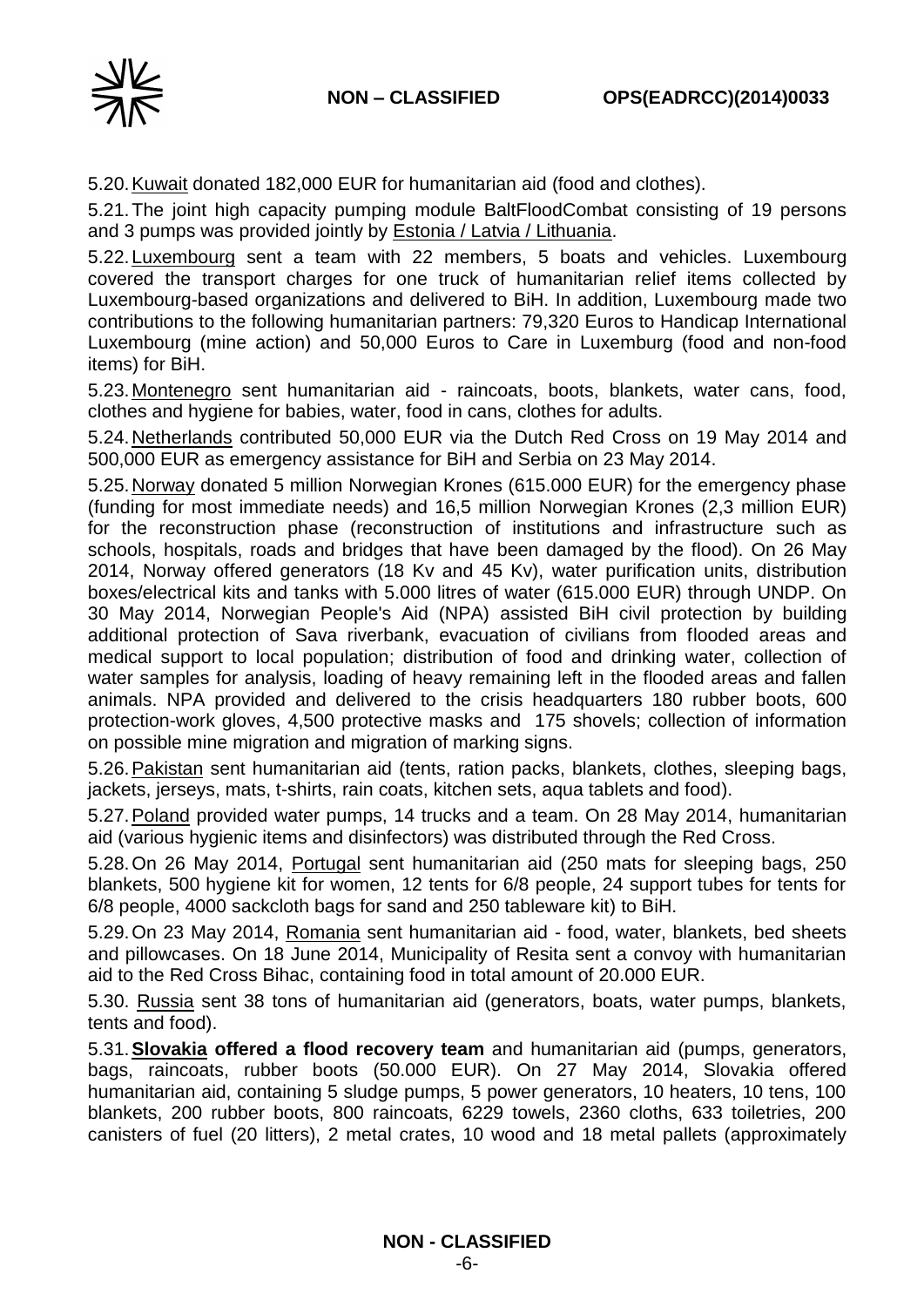

5.20.Kuwait donated 182,000 EUR for humanitarian aid (food and clothes).

5.21.The joint high capacity pumping module BaltFloodCombat consisting of 19 persons and 3 pumps was provided jointly by **Estonia / Latvia / Lithuania.** 

5.22.Luxembourg sent a team with 22 members, 5 boats and vehicles. Luxembourg covered the transport charges for one truck of humanitarian relief items collected by Luxembourg-based organizations and delivered to BiH. In addition, Luxembourg made two contributions to the following humanitarian partners: 79,320 Euros to Handicap International Luxembourg (mine action) and 50,000 Euros to Care in Luxemburg (food and non-food items) for BiH.

5.23.Montenegro sent humanitarian aid - raincoats, boots, blankets, water cans, food, clothes and hygiene for babies, water, food in cans, clothes for adults.

5.24.Netherlands contributed 50,000 EUR via the Dutch Red Cross on 19 May 2014 and 500,000 EUR as emergency assistance for BiH and Serbia on 23 May 2014.

5.25.Norway donated 5 million Norwegian Krones (615.000 EUR) for the emergency phase (funding for most immediate needs) and 16,5 million Norwegian Krones (2,3 million EUR) for the reconstruction phase (reconstruction of institutions and infrastructure such as schools, hospitals, roads and bridges that have been damaged by the flood). On 26 May 2014, Norway offered generators (18 Kv and 45 Kv), water purification units, distribution boxes/electrical kits and tanks with 5.000 litres of water (615.000 EUR) through UNDP. On 30 May 2014, Norwegian People's Aid (NPA) assisted BiH civil protection by building additional protection of Sava riverbank, evacuation of civilians from flooded areas and medical support to local population; distribution of food and drinking water, collection of water samples for analysis, loading of heavy remaining left in the flooded areas and fallen animals. NPA provided and delivered to the crisis headquarters 180 rubber boots, 600 protection-work gloves, 4,500 protective masks and 175 shovels; collection of information on possible mine migration and migration of marking signs.

5.26. Pakistan sent humanitarian aid (tents, ration packs, blankets, clothes, sleeping bags, jackets, jerseys, mats, t-shirts, rain coats, kitchen sets, aqua tablets and food).

5.27. Poland provided water pumps, 14 trucks and a team. On 28 May 2014, humanitarian aid (various hygienic items and disinfectors) was distributed through the Red Cross.

5.28.On 26 May 2014, Portugal sent humanitarian aid (250 mats for sleeping bags, 250 blankets, 500 hygiene kit for women, 12 tents for 6/8 people, 24 support tubes for tents for 6/8 people, 4000 sackcloth bags for sand and 250 tableware kit) to BiH.

5.29.On 23 May 2014, Romania sent humanitarian aid - food, water, blankets, bed sheets and pillowcases. On 18 June 2014, Municipality of Resita sent a convoy with humanitarian aid to the Red Cross Bihac, containing food in total amount of 20.000 EUR.

5.30. Russia sent 38 tons of humanitarian aid (generators, boats, water pumps, blankets, tents and food).

5.31.**Slovakia offered a flood recovery team** and humanitarian aid (pumps, generators, bags, raincoats, rubber boots (50.000 EUR). On 27 May 2014, Slovakia offered humanitarian aid, containing 5 sludge pumps, 5 power generators, 10 heaters, 10 tens, 100 blankets, 200 rubber boots, 800 raincoats, 6229 towels, 2360 cloths, 633 toiletries, 200 canisters of fuel (20 litters), 2 metal crates, 10 wood and 18 metal pallets (approximately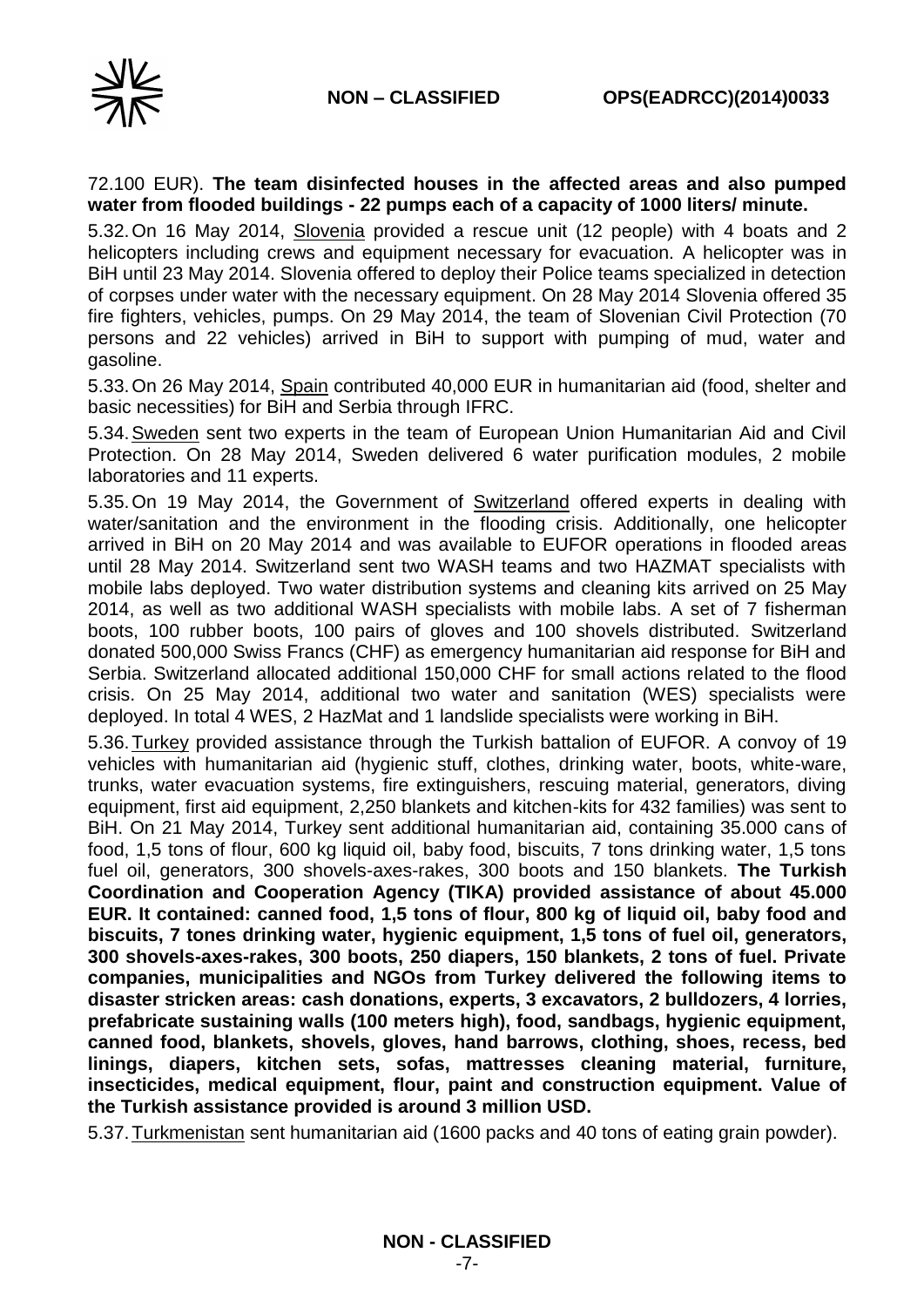

### 72.100 EUR). **The team disinfected houses in the affected areas and also pumped water from flooded buildings - 22 pumps each of a capacity of 1000 liters/ minute.**

5.32.On 16 May 2014, Slovenia provided a rescue unit (12 people) with 4 boats and 2 helicopters including crews and equipment necessary for evacuation. A helicopter was in BiH until 23 May 2014. Slovenia offered to deploy their Police teams specialized in detection of corpses under water with the necessary equipment. On 28 May 2014 Slovenia offered 35 fire fighters, vehicles, pumps. On 29 May 2014, the team of Slovenian Civil Protection (70 persons and 22 vehicles) arrived in BiH to support with pumping of mud, water and gasoline.

5.33.On 26 May 2014, Spain contributed 40,000 EUR in humanitarian aid (food, shelter and basic necessities) for BiH and Serbia through IFRC.

5.34.Sweden sent two experts in the team of European Union Humanitarian Aid and Civil Protection. On 28 May 2014, Sweden delivered 6 water purification modules, 2 mobile laboratories and 11 experts.

5.35.On 19 May 2014, the Government of Switzerland offered experts in dealing with water/sanitation and the environment in the flooding crisis. Additionally, one helicopter arrived in BiH on 20 May 2014 and was available to EUFOR operations in flooded areas until 28 May 2014. Switzerland sent two WASH teams and two HAZMAT specialists with mobile labs deployed. Two water distribution systems and cleaning kits arrived on 25 May 2014, as well as two additional WASH specialists with mobile labs. A set of 7 fisherman boots, 100 rubber boots, 100 pairs of gloves and 100 shovels distributed. Switzerland donated 500,000 Swiss Francs (CHF) as emergency humanitarian aid response for BiH and Serbia. Switzerland allocated additional 150,000 CHF for small actions related to the flood crisis. On 25 May 2014, additional two water and sanitation (WES) specialists were deployed. In total 4 WES, 2 HazMat and 1 landslide specialists were working in BiH.

5.36.Turkey provided assistance through the Turkish battalion of EUFOR. A convoy of 19 vehicles with humanitarian aid (hygienic stuff, clothes, drinking water, boots, white-ware, trunks, water evacuation systems, fire extinguishers, rescuing material, generators, diving equipment, first aid equipment, 2,250 blankets and kitchen-kits for 432 families) was sent to BiH. On 21 May 2014, Turkey sent additional humanitarian aid, containing 35.000 cans of food, 1,5 tons of flour, 600 kg liquid oil, baby food, biscuits, 7 tons drinking water, 1,5 tons fuel oil, generators, 300 shovels-axes-rakes, 300 boots and 150 blankets. **The Turkish Coordination and Cooperation Agency (TIKA) provided assistance of about 45.000 EUR. It contained: canned food, 1,5 tons of flour, 800 kg of liquid oil, baby food and biscuits, 7 tones drinking water, hygienic equipment, 1,5 tons of fuel oil, generators, 300 shovels-axes-rakes, 300 boots, 250 diapers, 150 blankets, 2 tons of fuel. Private companies, municipalities and NGOs from Turkey delivered the following items to disaster stricken areas: cash donations, experts, 3 excavators, 2 bulldozers, 4 lorries, prefabricate sustaining walls (100 meters high), food, sandbags, hygienic equipment, canned food, blankets, shovels, gloves, hand barrows, clothing, shoes, recess, bed linings, diapers, kitchen sets, sofas, mattresses cleaning material, furniture, insecticides, medical equipment, flour, paint and construction equipment. Value of the Turkish assistance provided is around 3 million USD.**

5.37.Turkmenistan sent humanitarian aid (1600 packs and 40 tons of eating grain powder).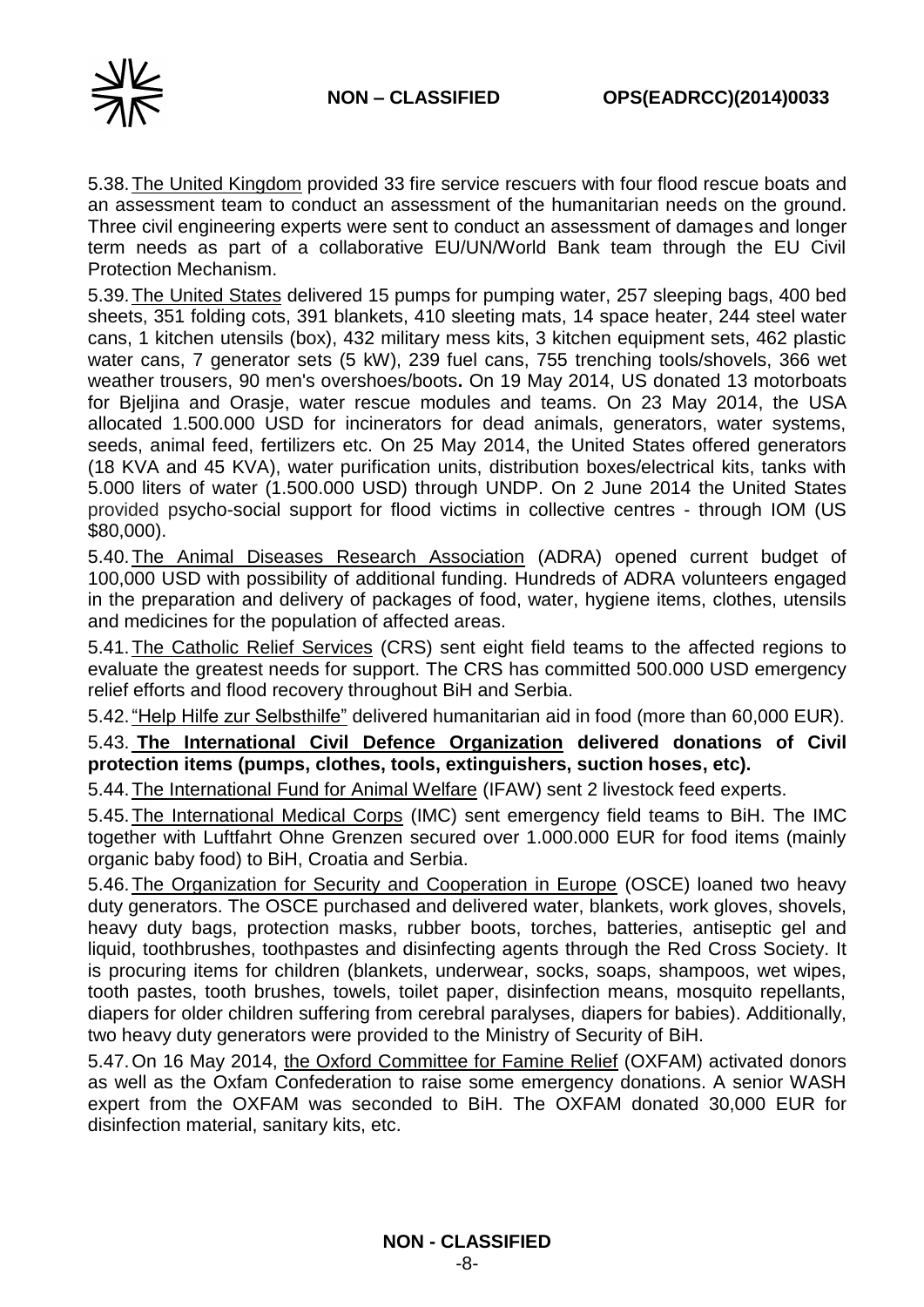

5.38.The United Kingdom provided 33 fire service rescuers with four flood rescue boats and an assessment team to conduct an assessment of the humanitarian needs on the ground. Three civil engineering experts were sent to conduct an assessment of damages and longer term needs as part of a collaborative EU/UN/World Bank team through the EU Civil Protection Mechanism.

5.39.The United States delivered 15 pumps for pumping water, 257 sleeping bags, 400 bed sheets, 351 folding cots, 391 blankets, 410 sleeting mats, 14 space heater, 244 steel water cans, 1 kitchen utensils (box), 432 military mess kits, 3 kitchen equipment sets, 462 plastic water cans, 7 generator sets (5 kW), 239 fuel cans, 755 trenching tools/shovels, 366 wet weather trousers, 90 men's overshoes/boots**.** On 19 May 2014, US donated 13 motorboats for Bjeljina and Orasje, water rescue modules and teams. On 23 May 2014, the USA allocated 1.500.000 USD for incinerators for dead animals, generators, water systems, seeds, animal feed, fertilizers etc. On 25 May 2014, the United States offered generators (18 KVA and 45 KVA), water purification units, distribution boxes/electrical kits, tanks with 5.000 liters of water (1.500.000 USD) through UNDP. On 2 June 2014 the United States provided psycho-social support for flood victims in collective centres - through IOM (US \$80,000).

5.40.The Animal Diseases Research Association (ADRA) opened current budget of 100,000 USD with possibility of additional funding. Hundreds of ADRA volunteers engaged in the preparation and delivery of packages of food, water, hygiene items, clothes, utensils and medicines for the population of affected areas.

5.41.The Catholic Relief Services (CRS) sent eight field teams to the affected regions to evaluate the greatest needs for support. The CRS has committed 500.000 USD emergency relief efforts and flood recovery throughout BiH and Serbia.

5.42."Help Hilfe zur Selbsthilfe" delivered humanitarian aid in food (more than 60,000 EUR).

5.43. **The International Civil Defence Organization delivered donations of Civil protection items (pumps, clothes, tools, extinguishers, suction hoses, etc).**

5.44.The International Fund for Animal Welfare (IFAW) sent 2 livestock feed experts.

5.45.The International Medical Corps (IMC) sent emergency field teams to BiH. The IMC together with Luftfahrt Ohne Grenzen secured over 1.000.000 EUR for food items (mainly organic baby food) to BiH, Croatia and Serbia.

5.46.The Organization for Security and Cooperation in Europe (OSCE) loaned two heavy duty generators. The OSCE purchased and delivered water, blankets, work gloves, shovels, heavy duty bags, protection masks, rubber boots, torches, batteries, antiseptic gel and liquid, toothbrushes, toothpastes and disinfecting agents through the Red Cross Society. It is procuring items for children (blankets, underwear, socks, soaps, shampoos, wet wipes, tooth pastes, tooth brushes, towels, toilet paper, disinfection means, mosquito repellants, diapers for older children suffering from cerebral paralyses, diapers for babies). Additionally, two heavy duty generators were provided to the Ministry of Security of BiH.

5.47.On 16 May 2014, the Oxford Committee for Famine Relief (OXFAM) activated donors as well as the Oxfam Confederation to raise some emergency donations. A senior WASH expert from the OXFAM was seconded to BiH. The OXFAM donated 30,000 EUR for disinfection material, sanitary kits, etc.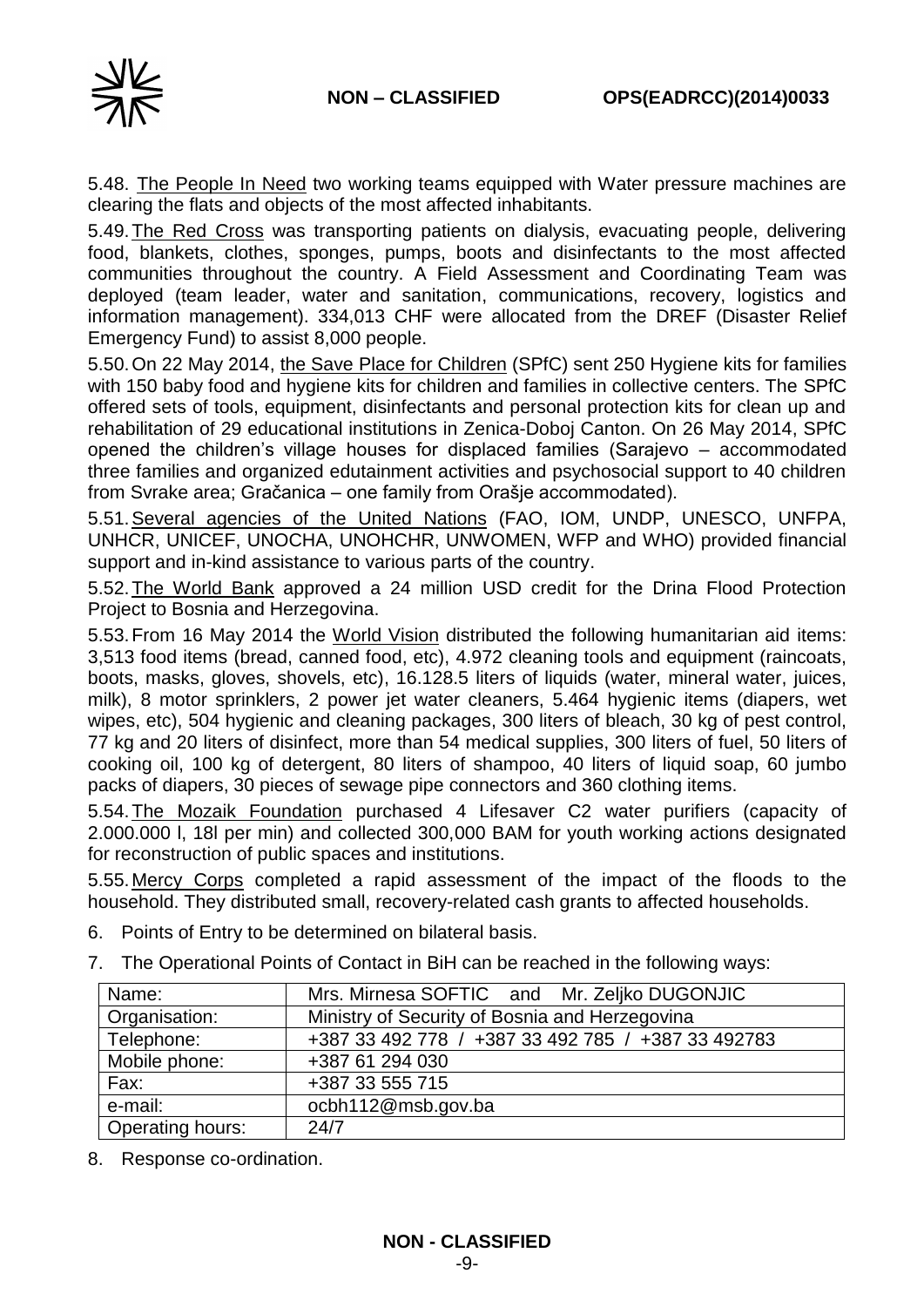

5.48. The People In Need two working teams equipped with Water pressure machines are clearing the flats and objects of the most affected inhabitants.

5.49.The Red Cross was transporting patients on dialysis, evacuating people, delivering food, blankets, clothes, sponges, pumps, boots and disinfectants to the most affected communities throughout the country. A Field Assessment and Coordinating Team was deployed (team leader, water and sanitation, communications, recovery, logistics and information management). 334,013 CHF were allocated from the DREF (Disaster Relief Emergency Fund) to assist 8,000 people.

5.50.On 22 May 2014, the Save Place for Children (SPfC) sent 250 Hygiene kits for families with 150 baby food and hygiene kits for children and families in collective centers. The SPfC offered sets of tools, equipment, disinfectants and personal protection kits for clean up and rehabilitation of 29 educational institutions in Zenica-Doboj Canton. On 26 May 2014, SPfC opened the children's village houses for displaced families (Sarajevo – accommodated three families and organized edutainment activities and psychosocial support to 40 children from Svrake area; Gračanica – one family from Orašje accommodated).

5.51.Several agencies of the United Nations (FAO, IOM, UNDP, UNESCO, UNFPA, UNHCR, UNICEF, UNOCHA, UNOHCHR, UNWOMEN, WFP and WHO) provided financial support and in-kind assistance to various parts of the country.

5.52.The World Bank approved a 24 million USD credit for the Drina Flood Protection Project to Bosnia and Herzegovina.

5.53.From 16 May 2014 the World Vision distributed the following humanitarian aid items: 3,513 food items (bread, canned food, etc), 4.972 cleaning tools and equipment (raincoats, boots, masks, gloves, shovels, etc), 16.128.5 liters of liquids (water, mineral water, juices, milk), 8 motor sprinklers, 2 power jet water cleaners, 5.464 hygienic items (diapers, wet wipes, etc), 504 hygienic and cleaning packages, 300 liters of bleach, 30 kg of pest control, 77 kg and 20 liters of disinfect, more than 54 medical supplies, 300 liters of fuel, 50 liters of cooking oil, 100 kg of detergent, 80 liters of shampoo, 40 liters of liquid soap, 60 jumbo packs of diapers, 30 pieces of sewage pipe connectors and 360 clothing items.

5.54.The Mozaik Foundation purchased 4 Lifesaver C2 water purifiers (capacity of 2.000.000 l, 18l per min) and collected 300,000 BAM for youth working actions designated for reconstruction of public spaces and institutions.

5.55.Mercy Corps completed a rapid assessment of the impact of the floods to the household. They distributed small, recovery-related cash grants to affected households.

- 6. Points of Entry to be determined on bilateral basis.
- 7. The Operational Points of Contact in BiH can be reached in the following ways:

| Name:            | Mrs. Mirnesa SOFTIC and Mr. Zeljko DUGONJIC        |
|------------------|----------------------------------------------------|
| Organisation:    | Ministry of Security of Bosnia and Herzegovina     |
| Telephone:       | +387 33 492 778 / +387 33 492 785 / +387 33 492783 |
| Mobile phone:    | +387 61 294 030                                    |
| Fax:             | +387 33 555 715                                    |
| e-mail:          | ocbh112@msb.gov.ba                                 |
| Operating hours: | 24/7                                               |

8. Response co-ordination.